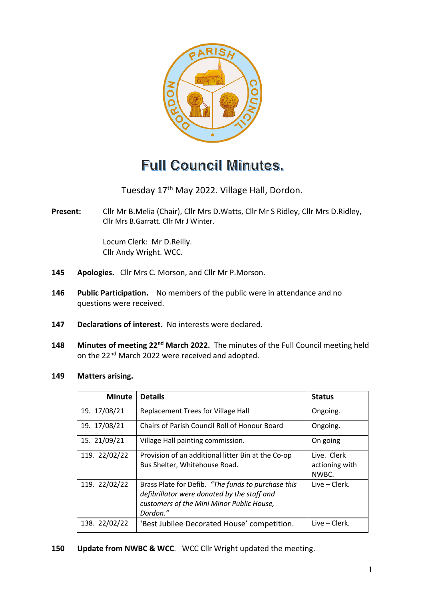

# **Full Council Minutes.**

Tuesday 17th May 2022*.* Village Hall, Dordon.

**Present:** Cllr Mr B.Melia (Chair), Cllr Mrs D.Watts, Cllr Mr S Ridley, Cllr Mrs D.Ridley, Cllr Mrs B.Garratt. Cllr Mr J Winter.

> Locum Clerk: Mr D.Reilly. Cllr Andy Wright. WCC.

- **145 Apologies.** Cllr Mrs C. Morson, and Cllr Mr P.Morson.
- **146 Public Participation.** No members of the public were in attendance and no questions were received.
- **147 Declarations of interest.** No interests were declared.
- **148 Minutes of meeting 22nd March 2022.** The minutes of the Full Council meeting held on the 22<sup>nd</sup> March 2022 were received and adopted.
- **149 Matters arising.**

| <b>Minute</b> | <b>Details</b>                                                                                                                                             | <b>Status</b>                          |
|---------------|------------------------------------------------------------------------------------------------------------------------------------------------------------|----------------------------------------|
| 19. 17/08/21  | Replacement Trees for Village Hall                                                                                                                         | Ongoing.                               |
| 19. 17/08/21  | Chairs of Parish Council Roll of Honour Board                                                                                                              | Ongoing.                               |
| 15. 21/09/21  | Village Hall painting commission.                                                                                                                          | On going                               |
| 119. 22/02/22 | Provision of an additional litter Bin at the Co-op<br>Bus Shelter, Whitehouse Road.                                                                        | Live. Clerk<br>actioning with<br>NWBC. |
| 119. 22/02/22 | Brass Plate for Defib. "The funds to purchase this<br>defibrillator were donated by the staff and<br>customers of the Mini Minor Public House,<br>Dordon." | Live – Clerk.                          |
| 138. 22/02/22 | 'Best Jubilee Decorated House' competition.                                                                                                                | Live – Clerk.                          |

**150 Update from NWBC & WCC**. WCC Cllr Wright updated the meeting.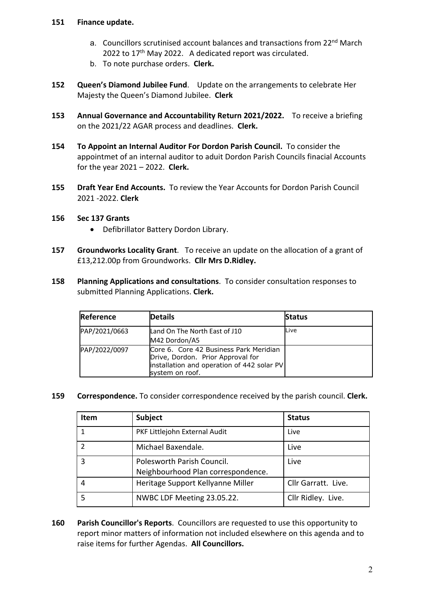## **151 Finance update.**

- a. Councillors scrutinised account balances and transactions from 22<sup>nd</sup> March 2022 to 17<sup>th</sup> May 2022. A dedicated report was circulated.
- b. To note purchase orders. **Clerk.**
- **152 Queen's Diamond Jubilee Fund**. Update on the arrangements to celebrate Her Majesty the Queen's Diamond Jubilee. **Clerk**
- **153 Annual Governance and Accountability Return 2021/2022.** To receive a briefing on the 2021/22 AGAR process and deadlines. **Clerk.**
- **154 To Appoint an Internal Auditor For Dordon Parish Council.** To consider the appointmet of an internal auditor to aduit Dordon Parish Councils finacial Accounts for the year 2021 – 2022. **Clerk.**
- **155 Draft Year End Accounts.** To review the Year Accounts for Dordon Parish Council 2021 -2022. **Clerk**

## **156 Sec 137 Grants**

- Defibrillator Battery Dordon Library.
- **157 Groundworks Locality Grant**. To receive an update on the allocation of a grant of £13,212.00p from Groundworks. **Cllr Mrs D.Ridley.**
- **158 Planning Applications and consultations**. To consider consultation responses to submitted Planning Applications. **Clerk.**

| Reference     | <b>Details</b>                                                                                                                               | <b>Status</b> |
|---------------|----------------------------------------------------------------------------------------------------------------------------------------------|---------------|
| PAP/2021/0663 | Land On The North East of J10<br>M42 Dordon/A5                                                                                               | Live          |
| PAP/2022/0097 | Core 6. Core 42 Business Park Meridian<br>Drive, Dordon. Prior Approval for<br>installation and operation of 442 solar PV<br>system on roof. |               |

**159 Correspondence.** To consider correspondence received by the parish council. **Clerk.**

| <b>Item</b> | Subject                                                          | <b>Status</b>       |
|-------------|------------------------------------------------------------------|---------------------|
|             | PKF Littlejohn External Audit                                    | Live                |
|             | Michael Baxendale.                                               | Live                |
| ς           | Polesworth Parish Council.<br>Neighbourhood Plan correspondence. | Live                |
|             | Heritage Support Kellyanne Miller                                | Cllr Garratt. Live. |
|             | NWBC LDF Meeting 23.05.22.                                       | Cllr Ridley. Live.  |

**160 Parish Councillor's Reports**. Councillors are requested to use this opportunity to report minor matters of information not included elsewhere on this agenda and to raise items for further Agendas. **All Councillors.**